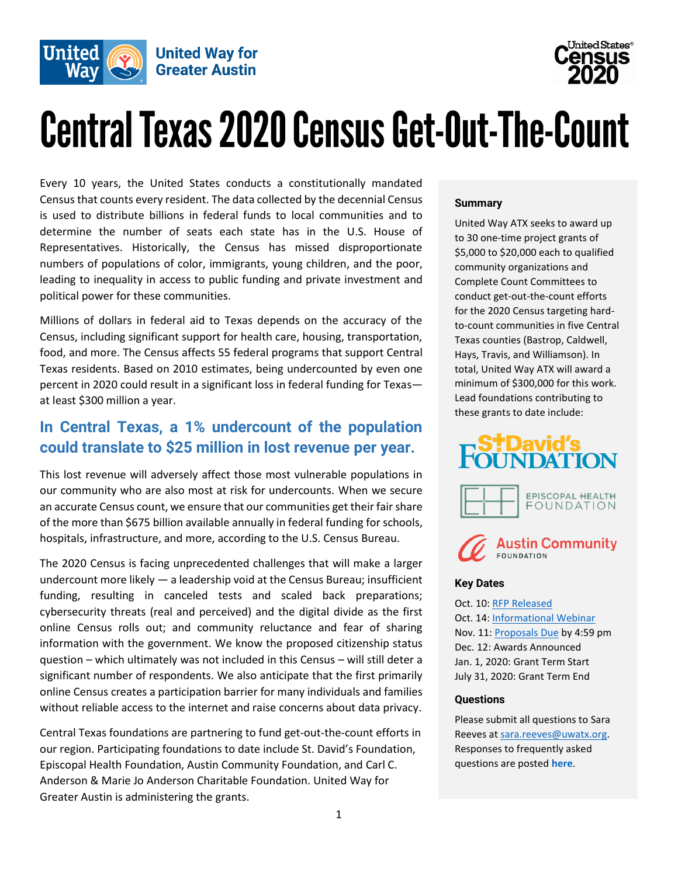

# United States $^\circ$

# **Central Texas 2020 Census Get-Out-The-Count**

Every 10 years, the United States conducts a constitutionally mandated Census that counts every resident. The data collected by the decennial Census is used to distribute billions in federal funds to local communities and to determine the number of seats each state has in the U.S. House of Representatives. Historically, the Census has missed disproportionate numbers of populations of color, immigrants, young children, and the poor, leading to inequality in access to public funding and private investment and political power for these communities.

Millions of dollars in federal aid to Texas depends on the accuracy of the Census, including significant support for health care, housing, transportation, food, and more. The Census affects 55 federal programs that support Central Texas residents. Based on 2010 estimates, being undercounted by even one percent in 2020 could result in a significant loss in federal funding for Texas at least \$300 million a year.

# **In Central Texas, a 1% undercount of the population could translate to \$25 million in lost revenue per year.**

This lost revenue will adversely affect those most vulnerable populations in our community who are also most at risk for undercounts. When we secure an accurate Census count, we ensure that our communities get their fair share of the more than \$675 billion available annually in federal funding for schools, hospitals, infrastructure, and more, according to the U.S. Census Bureau.

The 2020 Census is facing unprecedented challenges that will make a larger undercount more likely — a leadership void at the Census Bureau; insufficient funding, resulting in canceled tests and scaled back preparations; cybersecurity threats (real and perceived) and the digital divide as the first online Census rolls out; and community reluctance and fear of sharing information with the government. We know the proposed citizenship status question – which ultimately was not included in this Census – will still deter a significant number of respondents. We also anticipate that the first primarily online Census creates a participation barrier for many individuals and families without reliable access to the internet and raise concerns about data privacy.

Central Texas foundations are partnering to fund get-out-the-count efforts in our region. Participating foundations to date include St. David's Foundation, Episcopal Health Foundation, Austin Community Foundation, and Carl C. Anderson & Marie Jo Anderson Charitable Foundation. United Way for Greater Austin is administering the grants.

#### **Summary**

United Way ATX seeks to award up to 30 one-time project grants of \$5,000 to \$20,000 each to qualified community organizations and Complete Count Committees to conduct get-out-the-count efforts for the 2020 Census targeting hardto-count communities in five Central Texas counties (Bastrop, Caldwell, Hays, Travis, and Williamson). In total, United Way ATX will award a minimum of \$300,000 for this work. Lead foundations contributing to these grants to date include:





#### **Key Dates**

Oct. 10: [RFP Released](http://www.unitedwayaustin.org/census2020) Oct. 14: [Informational](https://zoom.us/webinar/register/WN_a86U3HP2R4OuyMT37r-8Eg) Webinar Nov. 11: [Proposals Due](https://app.smartsheet.com/b/form/869e3c65af6a48f9a9670f2d0e3939e5) by 4:59 pm Dec. 12: Awards Announced Jan. 1, 2020: Grant Term Start July 31, 2020: Grant Term End

#### **Questions**

Please submit all questions to Sara Reeves at [sara.reeves@uwatx.org.](mailto:sara.reeves@uwatx.org)  Responses to frequently asked questions are posted **[here](https://drive.google.com/open?id=1OwWBZesxP5S0_JdAnu-sY9BJwjPfQ7oD)**.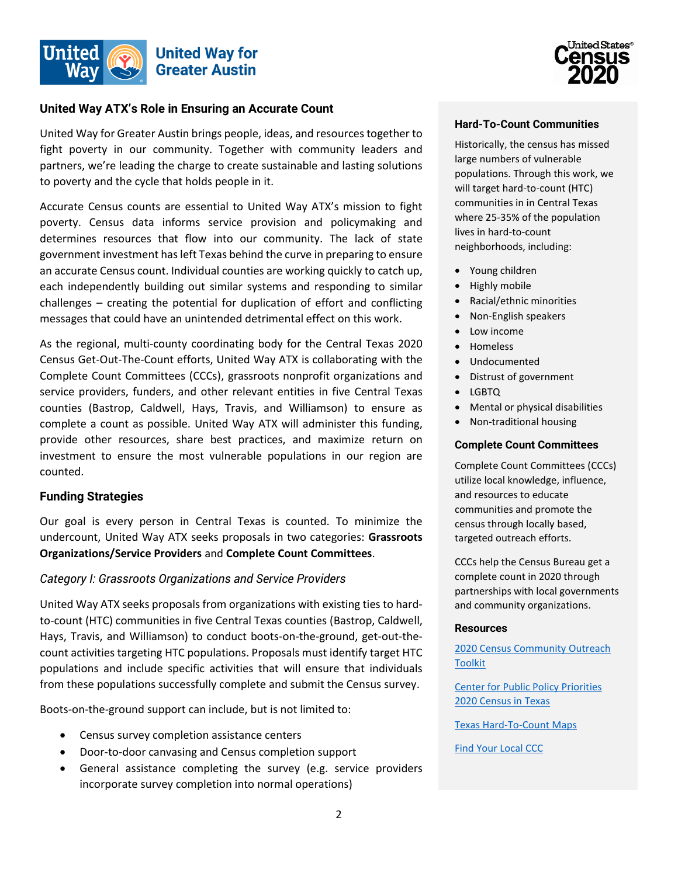

#### **United Way ATX's Role in Ensuring an Accurate Count**

United Way for Greater Austin brings people, ideas, and resources together to fight poverty in our community. Together with community leaders and partners, we're leading the charge to create sustainable and lasting solutions to poverty and the cycle that holds people in it.

Accurate Census counts are essential to United Way ATX's mission to fight poverty. Census data informs service provision and policymaking and determines resources that flow into our community. The lack of state government investment has left Texas behind the curve in preparing to ensure an accurate Census count. Individual counties are working quickly to catch up, each independently building out similar systems and responding to similar challenges – creating the potential for duplication of effort and conflicting messages that could have an unintended detrimental effect on this work.

As the regional, multi-county coordinating body for the Central Texas 2020 Census Get-Out-The-Count efforts, United Way ATX is collaborating with the Complete Count Committees (CCCs), grassroots nonprofit organizations and service providers, funders, and other relevant entities in five Central Texas counties (Bastrop, Caldwell, Hays, Travis, and Williamson) to ensure as complete a count as possible. United Way ATX will administer this funding, provide other resources, share best practices, and maximize return on investment to ensure the most vulnerable populations in our region are counted.

#### **Funding Strategies**

Our goal is every person in Central Texas is counted. To minimize the undercount, United Way ATX seeks proposals in two categories: **Grassroots Organizations/Service Providers** and **Complete Count Committees**.

#### *Category I: Grassroots Organizations and Service Providers*

United Way ATX seeks proposals from organizations with existing ties to hardto-count (HTC) communities in five Central Texas counties (Bastrop, Caldwell, Hays, Travis, and Williamson) to conduct boots-on-the-ground, get-out-thecount activities targeting HTC populations. Proposals must identify target HTC populations and include specific activities that will ensure that individuals from these populations successfully complete and submit the Census survey.

Boots-on-the-ground support can include, but is not limited to:

- Census survey completion assistance centers
- Door-to-door canvasing and Census completion support
- General assistance completing the survey (e.g. service providers incorporate survey completion into normal operations)



#### **Hard-To-Count Communities**

Historically, the census has missed large numbers of vulnerable populations. Through this work, we will target hard-to-count (HTC) communities in in Central Texas where 25-35% of the population lives in hard-to-count neighborhoods, including:

- Young children
- Highly mobile
- Racial/ethnic minorities
- Non-English speakers
- Low income
- Homeless
- Undocumented
- Distrust of government
- LGBTQ
- Mental or physical disabilities
- Non-traditional housing

#### **Complete Count Committees**

Complete Count Committees (CCCs) utilize local knowledge, influence, and resources to educate communities and promote the census through locally based, targeted outreach efforts.

CCCs help the Census Bureau get a complete count in 2020 through partnerships with local governments and community organizations.

#### **Resources**

[2020 Census Community](https://2020census.gov/content/dam/2020census/materials/partners/2019-03/toolkit.pdf) Outreach [Toolkit](https://2020census.gov/content/dam/2020census/materials/partners/2019-03/toolkit.pdf)

[Center for Public Policy Priorities](http://bettertexasblog.org/2020-census-tx/)  [2020 Census in Texas](http://bettertexasblog.org/2020-census-tx/)

[Texas Hard-To-Count Maps](http://www.censushardtocountmaps2020.us/img/mappdfs/Texas.pdf)

[Find Your Local CCC](https://www.census.gov/library/visualizations/interactive/2020-complete-count-committees.html)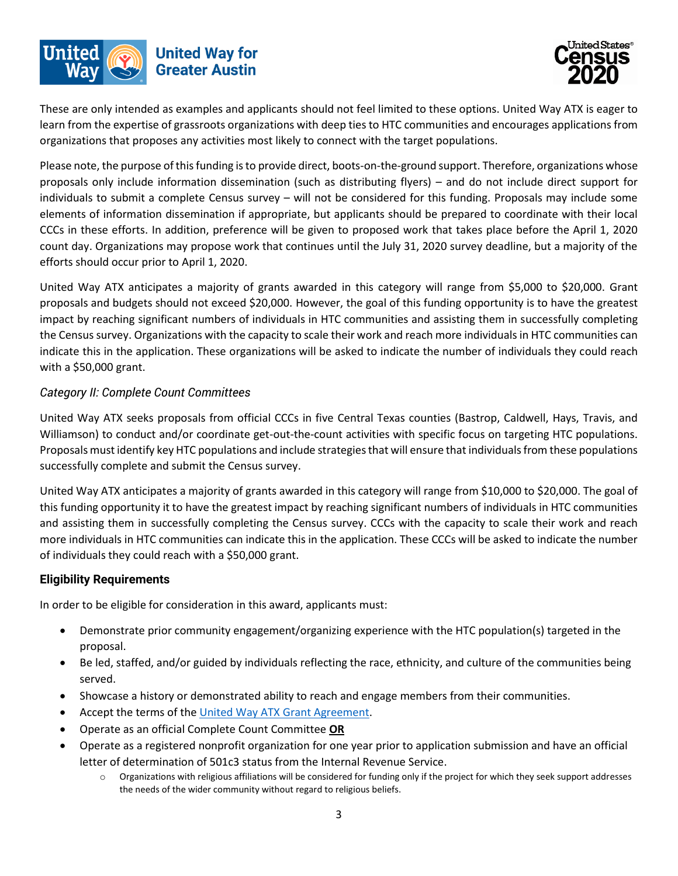



These are only intended as examples and applicants should not feel limited to these options. United Way ATX is eager to learn from the expertise of grassroots organizations with deep ties to HTC communities and encourages applications from organizations that proposes any activities most likely to connect with the target populations.

Please note, the purpose of this funding is to provide direct, boots-on-the-ground support. Therefore, organizations whose proposals only include information dissemination (such as distributing flyers) – and do not include direct support for individuals to submit a complete Census survey – will not be considered for this funding. Proposals may include some elements of information dissemination if appropriate, but applicants should be prepared to coordinate with their local CCCs in these efforts. In addition, preference will be given to proposed work that takes place before the April 1, 2020 count day. Organizations may propose work that continues until the July 31, 2020 survey deadline, but a majority of the efforts should occur prior to April 1, 2020.

United Way ATX anticipates a majority of grants awarded in this category will range from \$5,000 to \$20,000. Grant proposals and budgets should not exceed \$20,000. However, the goal of this funding opportunity is to have the greatest impact by reaching significant numbers of individuals in HTC communities and assisting them in successfully completing the Census survey. Organizations with the capacity to scale their work and reach more individuals in HTC communities can indicate this in the application. These organizations will be asked to indicate the number of individuals they could reach with a \$50,000 grant.

# *Category II: Complete Count Committees*

United Way ATX seeks proposals from official CCCs in five Central Texas counties (Bastrop, Caldwell, Hays, Travis, and Williamson) to conduct and/or coordinate get-out-the-count activities with specific focus on targeting HTC populations. Proposals must identify key HTC populations and include strategies that will ensure that individuals from these populations successfully complete and submit the Census survey.

United Way ATX anticipates a majority of grants awarded in this category will range from \$10,000 to \$20,000. The goal of this funding opportunity it to have the greatest impact by reaching significant numbers of individuals in HTC communities and assisting them in successfully completing the Census survey. CCCs with the capacity to scale their work and reach more individuals in HTC communities can indicate this in the application. These CCCs will be asked to indicate the number of individuals they could reach with a \$50,000 grant.

# **Eligibility Requirements**

In order to be eligible for consideration in this award, applicants must:

- Demonstrate prior community engagement/organizing experience with the HTC population(s) targeted in the proposal.
- Be led, staffed, and/or guided by individuals reflecting the race, ethnicity, and culture of the communities being served.
- Showcase a history or demonstrated ability to reach and engage members from their communities.
- Accept the terms of the [United Way ATX Grant](https://drive.google.com/open?id=1tvf_OB1uEzWcOFDr3Xgp5cgPOwD8hPjk) Agreement.
- Operate as an official Complete Count Committee **OR**
- Operate as a registered nonprofit organization for one year prior to application submission and have an official letter of determination of 501c3 status from the Internal Revenue Service.
	- $\circ$  Organizations with religious affiliations will be considered for funding only if the project for which they seek support addresses the needs of the wider community without regard to religious beliefs.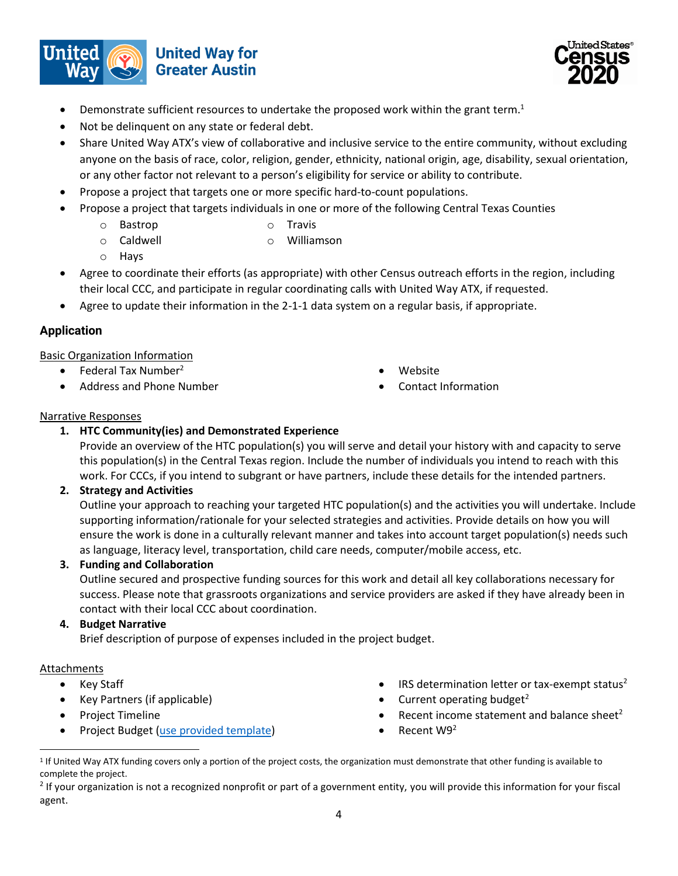



- **•** Demonstrate sufficient resources to undertake the proposed work within the grant term.<sup>1</sup>
- Not be delinquent on any state or federal debt.
- Share United Way ATX's view of collaborative and inclusive service to the entire community, without excluding anyone on the basis of race, color, religion, gender, ethnicity, national origin, age, disability, sexual orientation, or any other factor not relevant to a person's eligibility for service or ability to contribute.
- Propose a project that targets one or more specific hard-to-count populations.
- Propose a project that targets individuals in one or more of the following Central Texas Counties
	- o Bastrop o Travis
	- o Caldwell o Williamson
	- o Hays
- 
- Agree to coordinate their efforts (as appropriate) with other Census outreach efforts in the region, including their local CCC, and participate in regular coordinating calls with United Way ATX, if requested.
- Agree to update their information in the 2-1-1 data system on a regular basis, if appropriate.

# **Application**

#### Basic Organization Information

- $\bullet$  Federal Tax Number<sup>2</sup>
- Address and Phone Number
- Website
- Contact Information

#### Narrative Responses

# **1. HTC Community(ies) and Demonstrated Experience**

Provide an overview of the HTC population(s) you will serve and detail your history with and capacity to serve this population(s) in the Central Texas region. Include the number of individuals you intend to reach with this work. For CCCs, if you intend to subgrant or have partners, include these details for the intended partners.

#### **2. Strategy and Activities**

Outline your approach to reaching your targeted HTC population(s) and the activities you will undertake. Include supporting information/rationale for your selected strategies and activities. Provide details on how you will ensure the work is done in a culturally relevant manner and takes into account target population(s) needs such as language, literacy level, transportation, child care needs, computer/mobile access, etc.

#### **3. Funding and Collaboration**

Outline secured and prospective funding sources for this work and detail all key collaborations necessary for success. Please note that grassroots organizations and service providers are asked if they have already been in contact with their local CCC about coordination.

#### **4. Budget Narrative**

Brief description of purpose of expenses included in the project budget.

#### Attachments

 $\overline{a}$ 

- Key Staff
- Key Partners (if applicable)
- Project Timeline
- Project Budget [\(use provided template\)](https://drive.google.com/open?id=1i2CsX-mw6eG5KIobIk9C8XDVtSQZgi66)
- IRS determination letter or tax-exempt status $2$
- Current operating budget $2$
- Recent income statement and balance sheet<sup>2</sup>
- $\bullet$  Recent W9<sup>2</sup>

<sup>&</sup>lt;sup>1</sup> If United Way ATX funding covers only a portion of the project costs, the organization must demonstrate that other funding is available to complete the project.

 $2$  If your organization is not a recognized nonprofit or part of a government entity, you will provide this information for your fiscal agent.